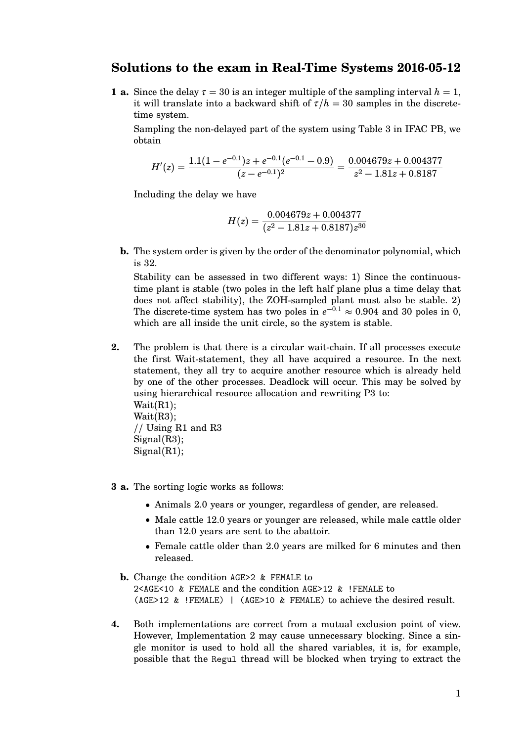## **Solutions to the exam in Real-Time Systems 2016-05-12**

**1 a.** Since the delay  $\tau = 30$  is an integer multiple of the sampling interval  $h = 1$ , it will translate into a backward shift of  $\tau/h = 30$  samples in the discretetime system.

Sampling the non-delayed part of the system using Table 3 in IFAC PB, we obtain

$$
H'(z) = \frac{1.1(1 - e^{-0.1})z + e^{-0.1}(e^{-0.1} - 0.9)}{(z - e^{-0.1})^2} = \frac{0.004679z + 0.004377}{z^2 - 1.81z + 0.8187}
$$

Including the delay we have

$$
H(z)=\frac{0.004679z+0.004377}{(z^2-1.81z+0.8187)z^{30}}
$$

**b.** The system order is given by the order of the denominator polynomial, which is 32.

Stability can be assessed in two different ways: 1) Since the continuoustime plant is stable (two poles in the left half plane plus a time delay that does not affect stability), the ZOH-sampled plant must also be stable. 2) The discrete-time system has two poles in  $e^{-0.1} \approx 0.904$  and 30 poles in 0, which are all inside the unit circle, so the system is stable.

- **2.** The problem is that there is a circular wait-chain. If all processes execute the first Wait-statement, they all have acquired a resource. In the next statement, they all try to acquire another resource which is already held by one of the other processes. Deadlock will occur. This may be solved by using hierarchical resource allocation and rewriting P3 to: Wait(R1); Wait(R3); // Using R1 and R3 Signal(R3);  $Signal(R1);$
- **3 a.** The sorting logic works as follows:
	- Animals 2.0 years or younger, regardless of gender, are released.
	- Male cattle 12.0 years or younger are released, while male cattle older than 12.0 years are sent to the abattoir.
	- Female cattle older than 2.0 years are milked for 6 minutes and then released.
	- **b.** Change the condition AGE>2 & FEMALE to 2<AGE<10 & FEMALE and the condition AGE>12 & !FEMALE to (AGE>12 & !FEMALE) | (AGE>10 & FEMALE) to achieve the desired result.
- **4.** Both implementations are correct from a mutual exclusion point of view. However, Implementation 2 may cause unnecessary blocking. Since a single monitor is used to hold all the shared variables, it is, for example, possible that the Regul thread will be blocked when trying to extract the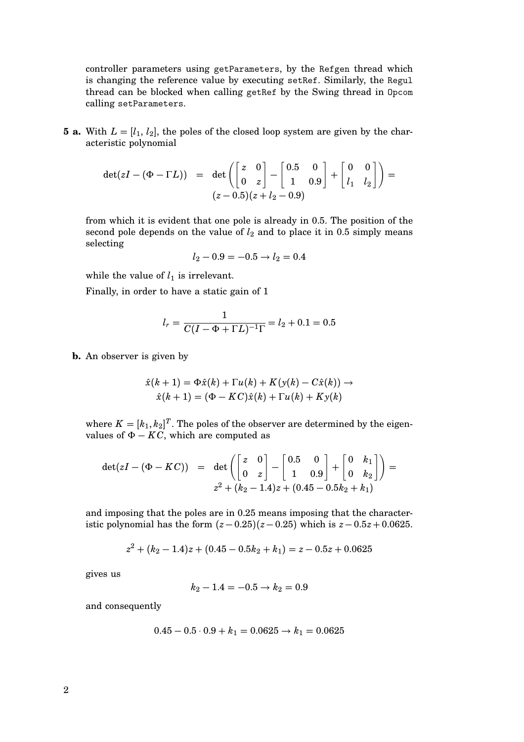controller parameters using getParameters, by the Refgen thread which is changing the reference value by executing setRef. Similarly, the Regul thread can be blocked when calling getRef by the Swing thread in Opcom calling setParameters.

**5 a.** With  $L = [l_1, l_2]$ , the poles of the closed loop system are given by the characteristic polynomial

$$
\det(zI - (\Phi - \Gamma L)) = \det\left(\begin{bmatrix} z & 0 \\ 0 & z \end{bmatrix} - \begin{bmatrix} 0.5 & 0 \\ 1 & 0.9 \end{bmatrix} + \begin{bmatrix} 0 & 0 \\ l_1 & l_2 \end{bmatrix}\right) =
$$

$$
(z - 0.5)(z + l_2 - 0.9)
$$

from which it is evident that one pole is already in 0.5. The position of the second pole depends on the value of  $l_2$  and to place it in 0.5 simply means selecting

$$
l_2 - 0.9 = -0.5 \rightarrow l_2 = 0.4
$$

while the value of  $l_1$  is irrelevant.

Finally, in order to have a static gain of 1

$$
l_r = \frac{1}{C(I - \Phi + \Gamma L)^{-1} \Gamma} = l_2 + 0.1 = 0.5
$$

**b.** An observer is given by

$$
\hat{x}(k+1) = \Phi \hat{x}(k) + \Gamma u(k) + K(y(k) - C\hat{x}(k)) \rightarrow
$$
  

$$
\hat{x}(k+1) = (\Phi - KC)\hat{x}(k) + \Gamma u(k) + Ky(k)
$$

where  $K = [k_1, k_2]^T$ . The poles of the observer are determined by the eigenvalues of  $\Phi - KC$ , which are computed as

$$
det(zI - (\Phi - KC)) = det \begin{pmatrix} \begin{bmatrix} z & 0 \\ 0 & z \end{bmatrix} - \begin{bmatrix} 0.5 & 0 \\ 1 & 0.9 \end{bmatrix} + \begin{bmatrix} 0 & k_1 \\ 0 & k_2 \end{bmatrix} = z^2 + (k_2 - 1.4)z + (0.45 - 0.5k_2 + k_1)
$$

and imposing that the poles are in 0.25 means imposing that the characteristic polynomial has the form  $(z-0.25)(z-0.25)$  which is  $z-0.5z+0.0625$ .

$$
z^{2} + (k_{2} - 1.4)z + (0.45 - 0.5k_{2} + k_{1}) = z - 0.5z + 0.0625
$$

gives us

$$
k_2 - 1.4 = -0.5 \rightarrow k_2 = 0.9
$$

and consequently

$$
0.45-0.5\cdot 0.9+k_1=0.0625\rightarrow k_1=0.0625
$$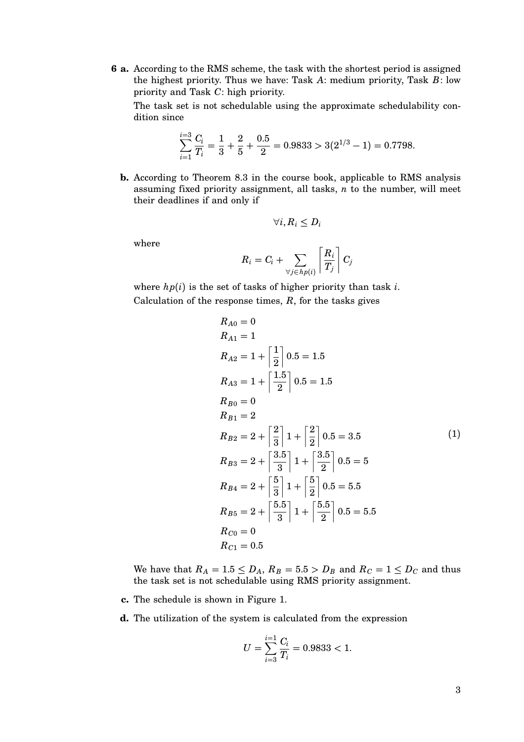**6 a.** According to the RMS scheme, the task with the shortest period is assigned the highest priority. Thus we have: Task *A*: medium priority, Task *B*: low priority and Task *C*: high priority.

The task set is not schedulable using the approximate schedulability condition since

$$
\sum_{i=1}^{i=3} \frac{C_i}{T_i} = \frac{1}{3} + \frac{2}{5} + \frac{0.5}{2} = 0.9833 > 3(2^{1/3} - 1) = 0.7798.
$$

**b.** According to Theorem 8.3 in the course book, applicable to RMS analysis assuming fixed priority assignment, all tasks, *n* to the number, will meet their deadlines if and only if

$$
\forall i, R_i \leq D_i
$$

where

$$
R_i = C_i + \sum_{\forall j \in hp(i)} \left\lceil \frac{R_i}{T_j} \right\rceil C_j
$$

where  $hp(i)$  is the set of tasks of higher priority than task *i*. Calculation of the response times,  $R$ , for the tasks gives

$$
R_{A0} = 0
$$
  
\n
$$
R_{A1} = 1
$$
  
\n
$$
R_{A2} = 1 + \left[\frac{1}{2}\right] 0.5 = 1.5
$$
  
\n
$$
R_{A3} = 1 + \left[\frac{1.5}{2}\right] 0.5 = 1.5
$$
  
\n
$$
R_{B0} = 0
$$
  
\n
$$
R_{B1} = 2
$$
  
\n
$$
R_{B2} = 2 + \left[\frac{2}{3}\right] 1 + \left[\frac{2}{2}\right] 0.5 = 3.5
$$
  
\n
$$
R_{B3} = 2 + \left[\frac{3.5}{3}\right] 1 + \left[\frac{3.5}{2}\right] 0.5 = 5
$$
  
\n
$$
R_{B4} = 2 + \left[\frac{5}{3}\right] 1 + \left[\frac{5}{2}\right] 0.5 = 5.5
$$
  
\n
$$
R_{B5} = 2 + \left[\frac{5.5}{3}\right] 1 + \left[\frac{5.5}{2}\right] 0.5 = 5.5
$$
  
\n
$$
R_{C0} = 0
$$
  
\n
$$
R_{C1} = 0.5
$$

We have that  $R_A = 1.5 \leq D_A$ ,  $R_B = 5.5 > D_B$  and  $R_C = 1 \leq D_C$  and thus the task set is not schedulable using RMS priority assignment.

- **c.** The schedule is shown in Figure 1.
- **d.** The utilization of the system is calculated from the expression

$$
U = \sum_{i=3}^{i=1} \frac{C_i}{T_i} = 0.9833 < 1.
$$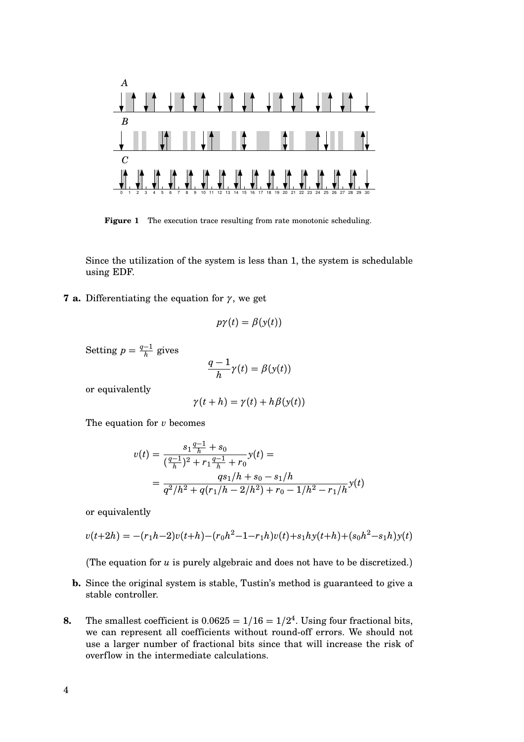

Figure 1 The execution trace resulting from rate monotonic scheduling.

Since the utilization of the system is less than 1, the system is schedulable using EDF.

**7 a.** Differentiating the equation for  $\gamma$ , we get

$$
p\gamma(t) = \beta(y(t))
$$

Setting  $p = \frac{q-1}{h}$  $\frac{-1}{h}$  gives

$$
\frac{q-1}{h}\gamma(t)=\beta(y(t))
$$

or equivalently

$$
\gamma(t+h) = \gamma(t) + h\beta(\mathbf{y}(t))
$$

The equation for *v* becomes

$$
v(t) = \frac{s_1 \frac{q-1}{h} + s_0}{(\frac{q-1}{h})^2 + r_1 \frac{q-1}{h} + r_0} y(t) =
$$
  
= 
$$
\frac{qs_1/h + s_0 - s_1/h}{q^2/h^2 + q(r_1/h - 2/h^2) + r_0 - 1/h^2 - r_1/h} y(t)
$$

or equivalently

$$
v(t+2h) = -(r_1h-2)v(t+h)-(r_0h^2-1-r_1h)v(t)+s_1hy(t+h)+(s_0h^2-s_1h)y(t)
$$

(The equation for *u* is purely algebraic and does not have to be discretized.)

- **b.** Since the original system is stable, Tustin's method is guaranteed to give a stable controller.
- **8.** The smallest coefficient is  $0.0625 = 1/16 = 1/2^4$ . Using four fractional bits, we can represent all coefficients without round-off errors. We should not use a larger number of fractional bits since that will increase the risk of overflow in the intermediate calculations.